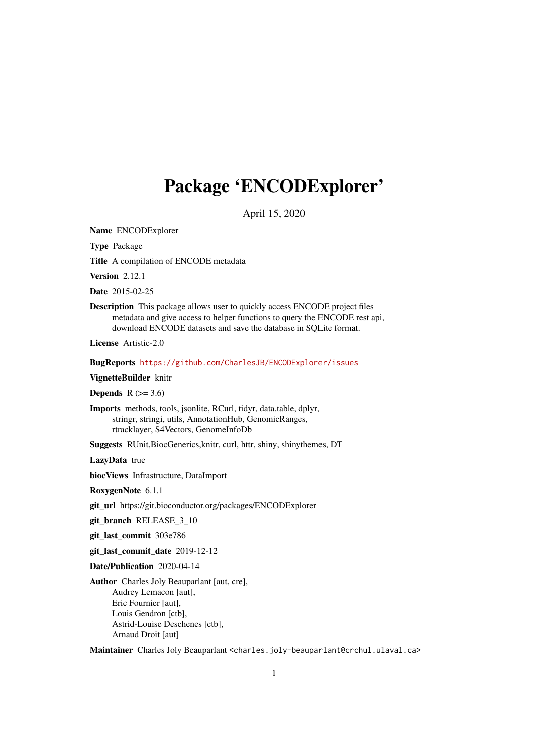# <span id="page-0-0"></span>Package 'ENCODExplorer'

April 15, 2020

Name ENCODExplorer

Type Package

Title A compilation of ENCODE metadata

Version 2.12.1

Date 2015-02-25

Description This package allows user to quickly access ENCODE project files metadata and give access to helper functions to query the ENCODE rest api, download ENCODE datasets and save the database in SQLite format.

License Artistic-2.0

BugReports <https://github.com/CharlesJB/ENCODExplorer/issues>

VignetteBuilder knitr

Depends  $R$  ( $>= 3.6$ )

Imports methods, tools, jsonlite, RCurl, tidyr, data.table, dplyr, stringr, stringi, utils, AnnotationHub, GenomicRanges, rtracklayer, S4Vectors, GenomeInfoDb

Suggests RUnit,BiocGenerics,knitr, curl, httr, shiny, shinythemes, DT

LazyData true

biocViews Infrastructure, DataImport

RoxygenNote 6.1.1

git\_url https://git.bioconductor.org/packages/ENCODExplorer

git\_branch RELEASE\_3\_10

git last commit 303e786

git\_last\_commit\_date 2019-12-12

Date/Publication 2020-04-14

Author Charles Joly Beauparlant [aut, cre], Audrey Lemacon [aut], Eric Fournier [aut], Louis Gendron [ctb], Astrid-Louise Deschenes [ctb], Arnaud Droit [aut]

Maintainer Charles Joly Beauparlant <charles.joly-beauparlant@crchul.ulaval.ca>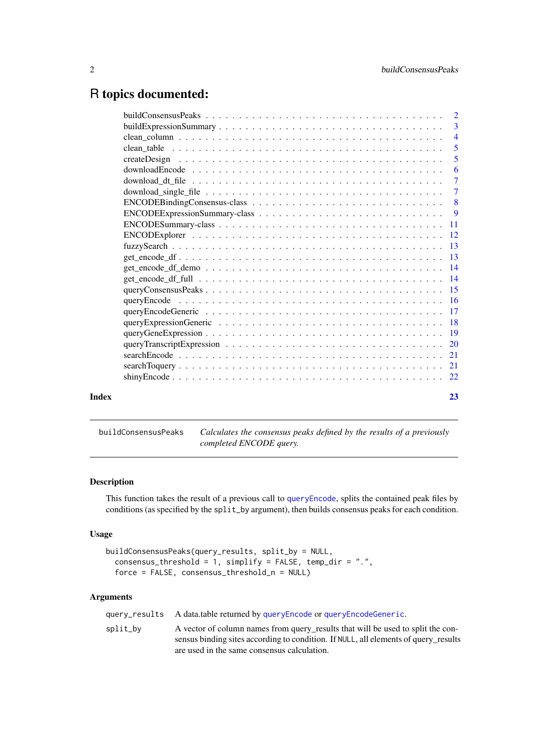# <span id="page-1-0"></span>R topics documented:

|       |                                                                                                                               | -3             |
|-------|-------------------------------------------------------------------------------------------------------------------------------|----------------|
|       |                                                                                                                               | $\overline{4}$ |
|       |                                                                                                                               | $\overline{5}$ |
|       |                                                                                                                               | $\overline{5}$ |
|       | $downloadEncode \dots \dots \dots \dots \dots \dots \dots \dots \dots \dots \dots \dots \dots \dots \dots \dots$              | $\overline{6}$ |
|       |                                                                                                                               | -7             |
|       |                                                                                                                               |                |
|       |                                                                                                                               |                |
|       |                                                                                                                               |                |
|       |                                                                                                                               |                |
|       |                                                                                                                               |                |
|       |                                                                                                                               |                |
|       |                                                                                                                               |                |
|       | $get\_encode\_df\_demo \dots \dots \dots \dots \dots \dots \dots \dots \dots \dots \dots \dots \dots \dots \dots \dots \dots$ |                |
|       |                                                                                                                               |                |
|       |                                                                                                                               |                |
|       |                                                                                                                               |                |
|       |                                                                                                                               |                |
|       |                                                                                                                               |                |
|       |                                                                                                                               |                |
|       |                                                                                                                               |                |
|       |                                                                                                                               |                |
|       |                                                                                                                               |                |
|       |                                                                                                                               |                |
| Index |                                                                                                                               | 23             |

<span id="page-1-1"></span>buildConsensusPeaks *Calculates the consensus peaks defined by the results of a previously completed ENCODE query.*

#### Description

This function takes the result of a previous call to [queryEncode](#page-15-1), splits the contained peak files by conditions (as specified by the split\_by argument), then builds consensus peaks for each condition.

#### Usage

```
buildConsensusPeaks(query_results, split_by = NULL,
 consensus_threshold = 1, simplify = FALSE, temp_dir = ".",
  force = FALSE, consensus_threshold_n = NULL)
```
#### Arguments

query\_results A data.table returned by [queryEncode](#page-15-1) or [queryEncodeGeneric](#page-16-1).

split\_by A vector of column names from query\_results that will be used to split the consensus binding sites according to condition. If NULL, all elements of query\_results are used in the same consensus calculation.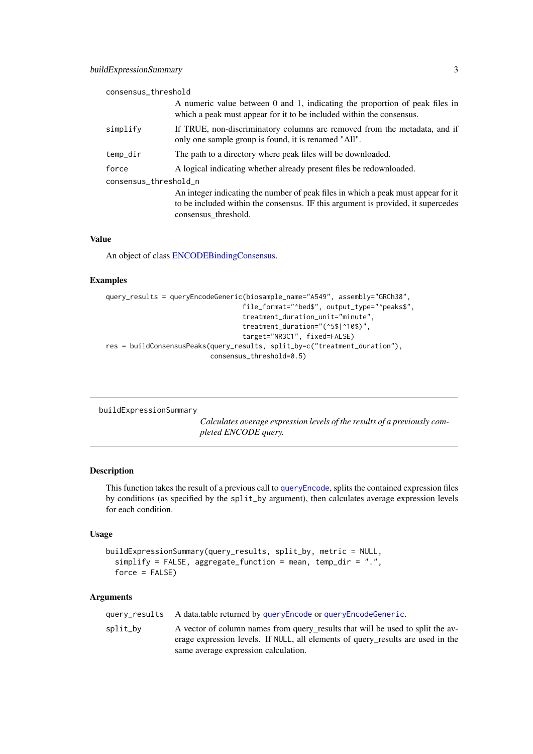#### <span id="page-2-0"></span>buildExpressionSummary 3

| consensus_threshold   |                                                                                                                                                     |
|-----------------------|-----------------------------------------------------------------------------------------------------------------------------------------------------|
|                       | A numeric value between 0 and 1, indicating the proportion of peak files in<br>which a peak must appear for it to be included within the consensus. |
| simplify              | If TRUE, non-discriminatory columns are removed from the metadata, and if<br>only one sample group is found, it is renamed "All".                   |
| temp_dir              | The path to a directory where peak files will be downloaded.                                                                                        |
| force                 | A logical indicating whether already present files be redownloaded.                                                                                 |
| consensus_threshold_n |                                                                                                                                                     |
|                       | An integer indicating the number of peak files in which a peak must appear for it                                                                   |
|                       | to be included within the consensus. IF this argument is provided, it supercedes                                                                    |
|                       | consensus threshold.                                                                                                                                |

#### Value

An object of class [ENCODEBindingConsensus.](#page-7-1)

#### Examples

```
query_results = queryEncodeGeneric(biosample_name="A549", assembly="GRCh38",
                                  file_format="^bed$", output_type="^peaks$",
                                  treatment_duration_unit="minute",
                                  treatment_duration="(^5$|^10$)",
                                  target="NR3C1", fixed=FALSE)
res = buildConsensusPeaks(query_results, split_by=c("treatment_duration"),
                          consensus_threshold=0.5)
```
<span id="page-2-1"></span>buildExpressionSummary

*Calculates average expression levels of the results of a previously completed ENCODE query.*

#### Description

This function takes the result of a previous call to [queryEncode](#page-15-1), splits the contained expression files by conditions (as specified by the split\_by argument), then calculates average expression levels for each condition.

#### Usage

```
buildExpressionSummary(query_results, split_by, metric = NULL,
  simplify = FALSE, aggregate_function = mean, temp_dir = ".",
  force = FALSE)
```
#### Arguments

query\_results A data.table returned by [queryEncode](#page-15-1) or [queryEncodeGeneric](#page-16-1).

split\_by A vector of column names from query\_results that will be used to split the average expression levels. If NULL, all elements of query\_results are used in the same average expression calculation.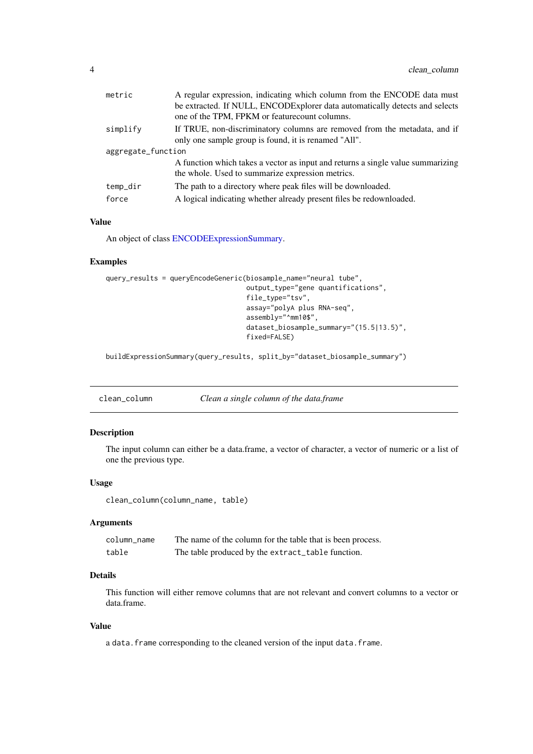<span id="page-3-0"></span>

| metric             | A regular expression, indicating which column from the ENCODE data must                                                             |
|--------------------|-------------------------------------------------------------------------------------------------------------------------------------|
|                    | be extracted. If NULL, ENCODExplorer data automatically detects and selects<br>one of the TPM, FPKM or feature count columns.       |
| simplify           | If TRUE, non-discriminatory columns are removed from the metadata, and if<br>only one sample group is found, it is renamed "All".   |
| aggregate_function |                                                                                                                                     |
|                    | A function which takes a vector as input and returns a single value summarizing<br>the whole. Used to summarize expression metrics. |
| temp_dir           | The path to a directory where peak files will be downloaded.                                                                        |
| force              | A logical indicating whether already present files be redownloaded.                                                                 |

# Value

An object of class [ENCODEExpressionSummary.](#page-8-1)

#### Examples

```
query_results = queryEncodeGeneric(biosample_name="neural tube",
                                   output_type="gene quantifications",
                                   file_type="tsv",
                                   assay="polyA plus RNA-seq",
                                   assembly="^mm10$",
                                   dataset_biosample_summary="(15.5|13.5)",
                                   fixed=FALSE)
```
buildExpressionSummary(query\_results, split\_by="dataset\_biosample\_summary")

clean\_column *Clean a single column of the data.frame*

# Description

The input column can either be a data.frame, a vector of character, a vector of numeric or a list of one the previous type.

#### Usage

```
clean_column(column_name, table)
```
# Arguments

| column name | The name of the column for the table that is been process. |
|-------------|------------------------------------------------------------|
| table       | The table produced by the extract_table function.          |

#### Details

This function will either remove columns that are not relevant and convert columns to a vector or data.frame.

#### Value

a data. frame corresponding to the cleaned version of the input data. frame.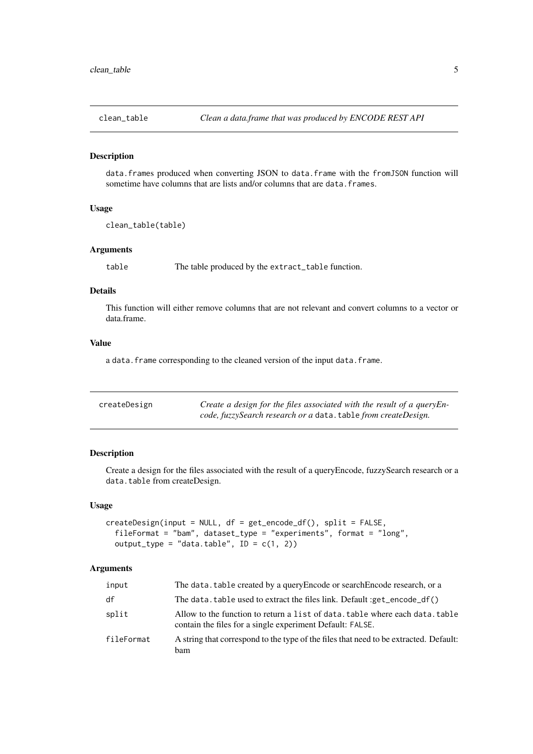<span id="page-4-0"></span>

#### Description

data.frames produced when converting JSON to data.frame with the fromJSON function will sometime have columns that are lists and/or columns that are data. frames.

#### Usage

```
clean_table(table)
```
# Arguments

table The table produced by the extract\_table function.

# Details

This function will either remove columns that are not relevant and convert columns to a vector or data.frame.

# Value

a data. frame corresponding to the cleaned version of the input data. frame.

| createDesign | Create a design for the files associated with the result of a queryEn- |
|--------------|------------------------------------------------------------------------|
|              | code, fuzzySearch research or a data. table from createDesign.         |

# Description

Create a design for the files associated with the result of a queryEncode, fuzzySearch research or a data.table from createDesign.

# Usage

```
createstDesign(input = NULL, df = get\_encode_df(), split = FALSE,fileFormat = "bam", dataset_type = "experiments", format = "long",
 output_type = "data.table", ID = c(1, 2))
```
#### Arguments

| input      | The data, table created by a query Encode or search Encode research, or a                                                                 |
|------------|-------------------------------------------------------------------------------------------------------------------------------------------|
| df         | The data. table used to extract the files link. Default :get_encode_df()                                                                  |
| split      | Allow to the function to return a list of data. table where each data. table<br>contain the files for a single experiment Default: FALSE. |
| fileFormat | A string that correspond to the type of the files that need to be extracted. Default:<br><b>bam</b>                                       |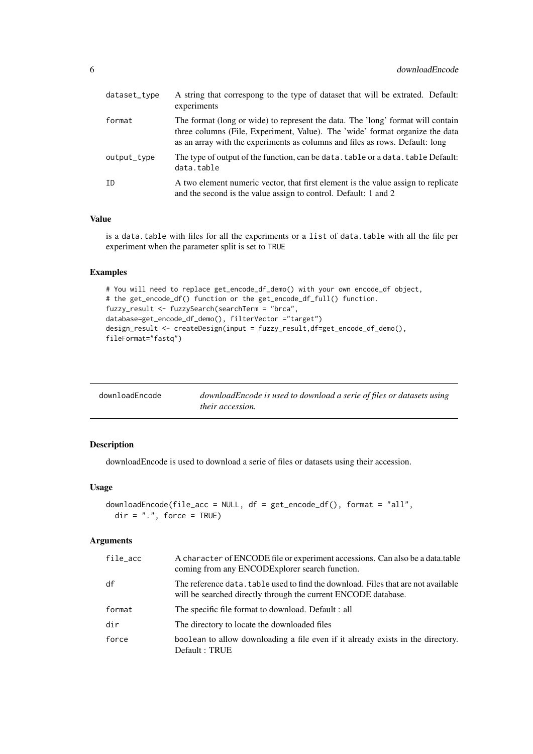<span id="page-5-0"></span>

| dataset_type | A string that correspong to the type of dataset that will be extrated. Default:<br>experiments                                                                                                                                                  |
|--------------|-------------------------------------------------------------------------------------------------------------------------------------------------------------------------------------------------------------------------------------------------|
| format       | The format (long or wide) to represent the data. The 'long' format will contain<br>three columns (File, Experiment, Value). The 'wide' format organize the data<br>as an array with the experiments as columns and files as rows. Default: long |
| output_type  | The type of output of the function, can be data. table or a data. table Default:<br>data.table                                                                                                                                                  |
| ID           | A two element numeric vector, that first element is the value assign to replicate<br>and the second is the value assign to control. Default: 1 and 2                                                                                            |

# Value

is a data.table with files for all the experiments or a list of data.table with all the file per experiment when the parameter split is set to TRUE

# Examples

```
# You will need to replace get_encode_df_demo() with your own encode_df object,
# the get_encode_df() function or the get_encode_df_full() function.
fuzzy_result <- fuzzySearch(searchTerm = "brca",
database=get_encode_df_demo(), filterVector ="target")
design_result <- createDesign(input = fuzzy_result,df=get_encode_df_demo(),
fileFormat="fastq")
```

| downloadEncode | downloadEncode is used to download a serie of files or datasets using |
|----------------|-----------------------------------------------------------------------|
|                | <i>their accession.</i>                                               |

#### Description

downloadEncode is used to download a serie of files or datasets using their accession.

#### Usage

```
downloadEncode(file_acc = NULL, df = get\_encode_df(), format = "all",
 dir = ".", force = TRUE)
```
# Arguments

| file_acc | A character of ENCODE file or experiment accessions. Can also be a data.table<br>coming from any ENCODExplorer search function.                     |
|----------|-----------------------------------------------------------------------------------------------------------------------------------------------------|
| df       | The reference data, table used to find the download. Files that are not available<br>will be searched directly through the current ENCODE database. |
| format   | The specific file format to download. Default : all                                                                                                 |
| dir      | The directory to locate the downloaded files                                                                                                        |
| force    | boolean to allow downloading a file even if it already exists in the directory.<br>Default: TRUE                                                    |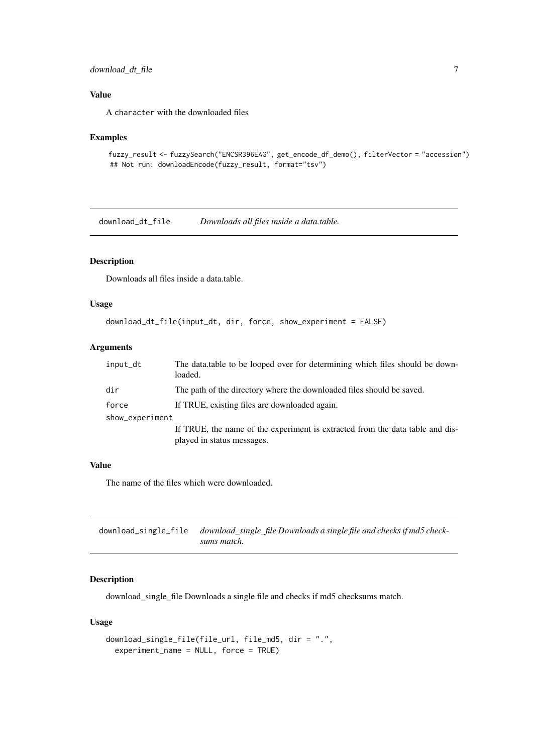#### <span id="page-6-0"></span>download\_dt\_file 7

# Value

A character with the downloaded files

#### Examples

```
fuzzy_result <- fuzzySearch("ENCSR396EAG", get_encode_df_demo(), filterVector = "accession")
## Not run: downloadEncode(fuzzy_result, format="tsv")
```
download\_dt\_file *Downloads all files inside a data.table.*

# Description

Downloads all files inside a data.table.

#### Usage

```
download_dt_file(input_dt, dir, force, show_experiment = FALSE)
```
# Arguments

| input_dt        | The data table to be looped over for determining which files should be down-<br>loaded. |
|-----------------|-----------------------------------------------------------------------------------------|
| dir             | The path of the directory where the downloaded files should be saved.                   |
| force           | If TRUE, existing files are downloaded again.                                           |
| show_experiment |                                                                                         |
|                 | If TRUE, the name of the experiment is extracted from the data table and dis-           |
|                 | played in status messages.                                                              |

#### Value

The name of the files which were downloaded.

download\_single\_file *download\_single\_file Downloads a single file and checks if md5 checksums match.*

# Description

download\_single\_file Downloads a single file and checks if md5 checksums match.

# Usage

```
download_single_file(file_url, file_md5, dir = ".",
 experiment_name = NULL, force = TRUE)
```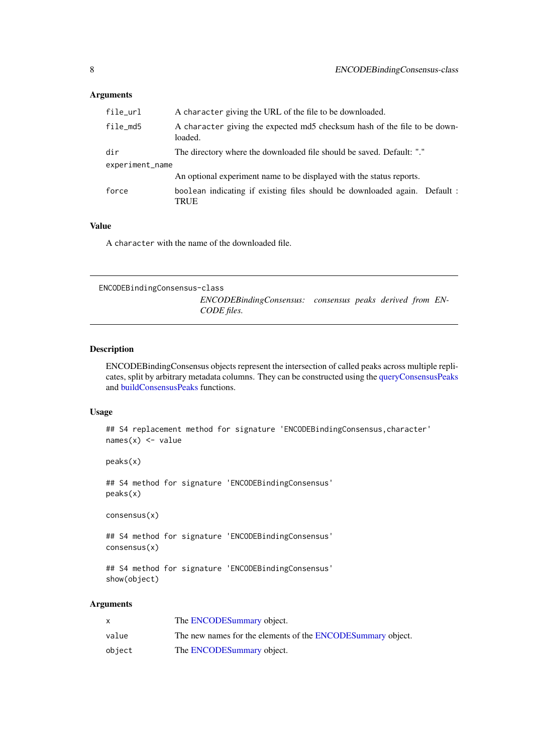# <span id="page-7-0"></span>Arguments

| file_url        | A character giving the URL of the file to be downloaded.                             |
|-----------------|--------------------------------------------------------------------------------------|
| file_md5        | A character giving the expected md5 checksum hash of the file to be down-<br>loaded. |
| dir             | The directory where the downloaded file should be saved. Default: "."                |
| experiment_name |                                                                                      |
|                 | An optional experiment name to be displayed with the status reports.                 |
| force           | boolean indicating if existing files should be downloaded again. Default :<br>TRUE   |

# Value

A character with the name of the downloaded file.

<span id="page-7-1"></span>ENCODEBindingConsensus-class *ENCODEBindingConsensus: consensus peaks derived from EN-CODE files.*

# Description

ENCODEBindingConsensus objects represent the intersection of called peaks across multiple replicates, split by arbitrary metadata columns. They can be constructed using the [queryConsensusPeaks](#page-14-1) and [buildConsensusPeaks](#page-1-1) functions.

# Usage

## S4 replacement method for signature 'ENCODEBindingConsensus,character'  $names(x)$  <- value

peaks(x)

## S4 method for signature 'ENCODEBindingConsensus' peaks(x)

consensus(x)

## S4 method for signature 'ENCODEBindingConsensus' consensus(x)

## S4 method for signature 'ENCODEBindingConsensus' show(object)

# Arguments

|        | The ENCODESummary object.                                   |
|--------|-------------------------------------------------------------|
| value  | The new names for the elements of the ENCODESummary object. |
| object | The ENCODESummary object.                                   |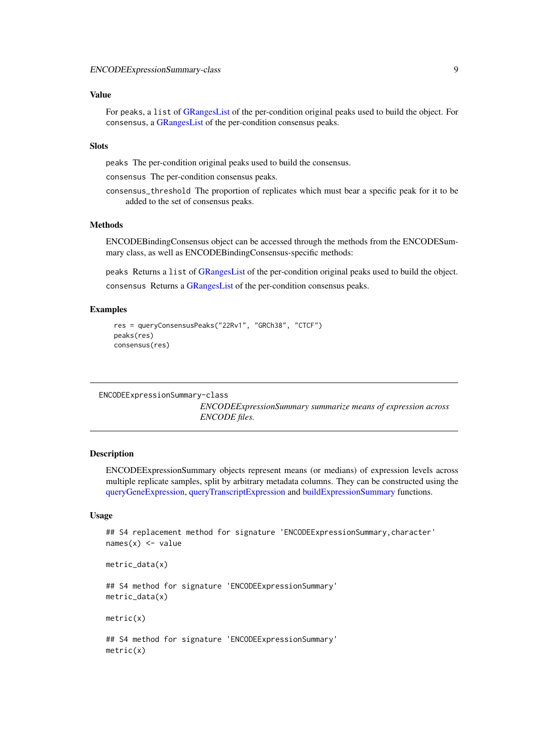#### <span id="page-8-0"></span>Value

For peaks, a list of [GRangesList](#page-0-0) of the per-condition original peaks used to build the object. For consensus, a [GRangesList](#page-0-0) of the per-condition consensus peaks.

# Slots

peaks The per-condition original peaks used to build the consensus.

consensus The per-condition consensus peaks.

consensus\_threshold The proportion of replicates which must bear a specific peak for it to be added to the set of consensus peaks.

#### Methods

ENCODEBindingConsensus object can be accessed through the methods from the ENCODESummary class, as well as ENCODEBindingConsensus-specific methods:

peaks Returns a list of [GRangesList](#page-0-0) of the per-condition original peaks used to build the object. consensus Returns a [GRangesList](#page-0-0) of the per-condition consensus peaks.

# Examples

```
res = queryConsensusPeaks("22Rv1", "GRCh38", "CTCF")
peaks(res)
consensus(res)
```

```
ENCODEExpressionSummary-class
```
*ENCODEExpressionSummary summarize means of expression across ENCODE files.*

#### Description

ENCODEExpressionSummary objects represent means (or medians) of expression levels across multiple replicate samples, split by arbitrary metadata columns. They can be constructed using the [queryGeneExpression,](#page-18-1) [queryTranscriptExpression](#page-19-1) and [buildExpressionSummary](#page-2-1) functions.

# Usage

```
## S4 replacement method for signature 'ENCODEExpressionSummary, character'
names(x) <- value
```
metric\_data(x)

## S4 method for signature 'ENCODEExpressionSummary' metric\_data(x)

metric(x)

## S4 method for signature 'ENCODEExpressionSummary' metric(x)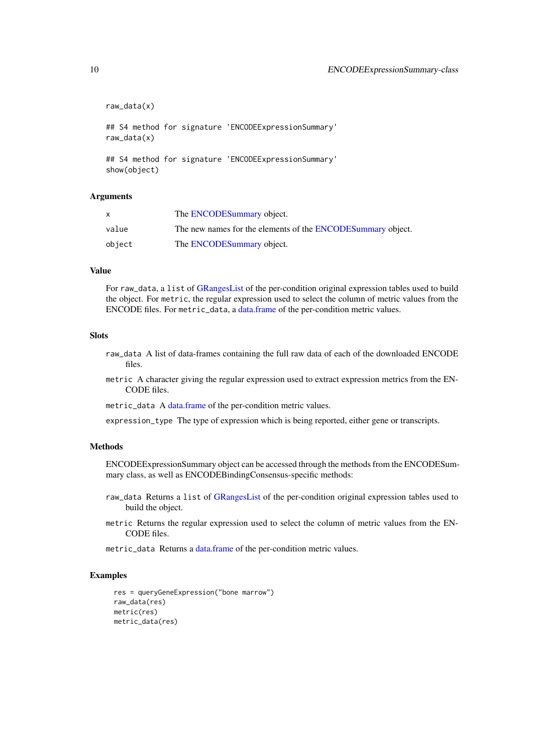```
raw_data(x)
## S4 method for signature 'ENCODEExpressionSummary'
raw_data(x)
## S4 method for signature 'ENCODEExpressionSummary'
show(object)
```
#### Arguments

| $\mathsf{x}$ | The ENCODESummary object.                                   |
|--------------|-------------------------------------------------------------|
| value        | The new names for the elements of the ENCODESummary object. |
| object       | The ENCODESummary object.                                   |

# Value

For raw\_data, a list of [GRangesList](#page-0-0) of the per-condition original expression tables used to build the object. For metric, the regular expression used to select the column of metric values from the ENCODE files. For metric data, a [data.frame](#page-0-0) of the per-condition metric values.

#### Slots

- raw\_data A list of data-frames containing the full raw data of each of the downloaded ENCODE files.
- metric A character giving the regular expression used to extract expression metrics from the EN-CODE files.
- metric\_data A [data.frame](#page-0-0) of the per-condition metric values.

expression\_type The type of expression which is being reported, either gene or transcripts.

#### Methods

ENCODEExpressionSummary object can be accessed through the methods from the ENCODESummary class, as well as ENCODEBindingConsensus-specific methods:

- raw\_data Returns a list of [GRangesList](#page-0-0) of the per-condition original expression tables used to build the object.
- metric Returns the regular expression used to select the column of metric values from the EN-CODE files.
- metric\_data Returns a [data.frame](#page-0-0) of the per-condition metric values.

#### Examples

```
res = queryGeneExpression("bone marrow")
raw_data(res)
metric(res)
metric_data(res)
```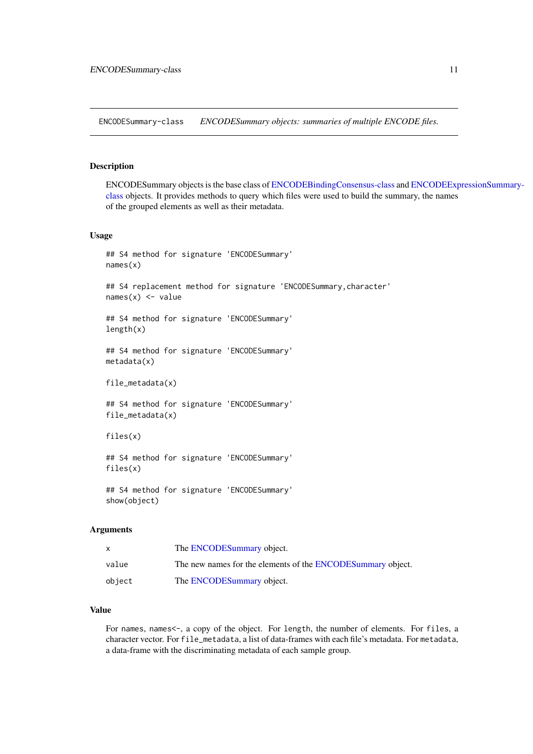<span id="page-10-1"></span><span id="page-10-0"></span>ENCODESummary-class *ENCODESummary objects: summaries of multiple ENCODE files.*

#### Description

ENCODESummary objects is the base class of [ENCODEBindingConsensus-class](#page-7-1) and [ENCODEExp](#page-8-1)ressionSummary[class](#page-8-1) objects. It provides methods to query which files were used to build the summary, the names of the grouped elements as well as their metadata.

# Usage

```
## S4 method for signature 'ENCODESummary'
names(x)
## S4 replacement method for signature 'ENCODESummary, character'
names(x) <- value
## S4 method for signature 'ENCODESummary'
length(x)
## S4 method for signature 'ENCODESummary'
metadata(x)
file_metadata(x)
## S4 method for signature 'ENCODESummary'
file_metadata(x)
files(x)
## S4 method for signature 'ENCODESummary'
files(x)
## S4 method for signature 'ENCODESummary'
```
show(object)

#### Arguments

|        | The ENCODESummary object.                                   |
|--------|-------------------------------------------------------------|
| value  | The new names for the elements of the ENCODESummary object. |
| object | The ENCODESummary object.                                   |

#### Value

For names, names<-, a copy of the object. For length, the number of elements. For files, a character vector. For file\_metadata, a list of data-frames with each file's metadata. For metadata, a data-frame with the discriminating metadata of each sample group.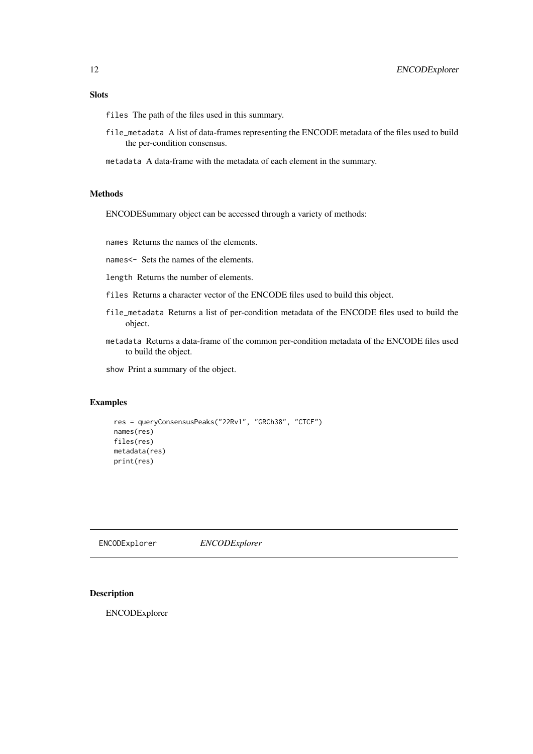#### <span id="page-11-0"></span>Slots

files The path of the files used in this summary.

- file\_metadata A list of data-frames representing the ENCODE metadata of the files used to build the per-condition consensus.
- metadata A data-frame with the metadata of each element in the summary.

#### Methods

ENCODESummary object can be accessed through a variety of methods:

names Returns the names of the elements.

names<- Sets the names of the elements.

length Returns the number of elements.

- files Returns a character vector of the ENCODE files used to build this object.
- file\_metadata Returns a list of per-condition metadata of the ENCODE files used to build the object.
- metadata Returns a data-frame of the common per-condition metadata of the ENCODE files used to build the object.

show Print a summary of the object.

# Examples

```
res = queryConsensusPeaks("22Rv1", "GRCh38", "CTCF")
names(res)
files(res)
metadata(res)
print(res)
```
ENCODExplorer *ENCODExplorer*

#### Description

ENCODExplorer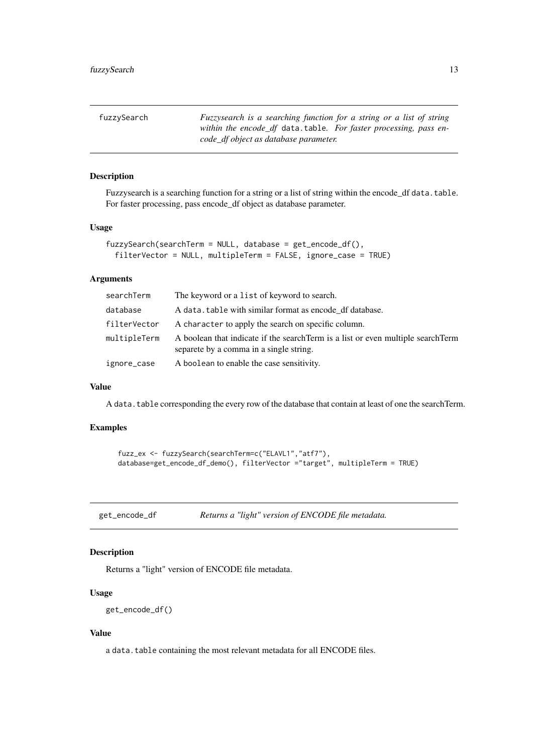<span id="page-12-0"></span>

| fuzzySearch | Fuzzysearch is a searching function for a string or a list of string<br>within the encode df data.table. For faster processing, pass en- |
|-------------|------------------------------------------------------------------------------------------------------------------------------------------|
|             | code_df object as database parameter.                                                                                                    |

# Description

Fuzzysearch is a searching function for a string or a list of string within the encode\_df data.table. For faster processing, pass encode\_df object as database parameter.

# Usage

```
fuzzySearch(searchTerm = NULL, database = get_encode_df(),
  filterVector = NULL, multipleTerm = FALSE, ignore_case = TRUE)
```
# Arguments

| searchTerm   | The keyword or a list of keyword to search.                                                                                  |
|--------------|------------------------------------------------------------------------------------------------------------------------------|
| database     | A data, table with similar format as encode df database.                                                                     |
| filterVector | A character to apply the search on specific column.                                                                          |
| multipleTerm | A boolean that indicate if the search Term is a list or even multiple search Term<br>separete by a comma in a single string. |
| ignore_case  | A boolean to enable the case sensitivity.                                                                                    |

#### Value

A data.table corresponding the every row of the database that contain at least of one the searchTerm.

# Examples

```
fuzz_ex <- fuzzySearch(searchTerm=c("ELAVL1","atf7"),
database=get_encode_df_demo(), filterVector ="target", multipleTerm = TRUE)
```
get\_encode\_df *Returns a "light" version of ENCODE file metadata.*

# Description

Returns a "light" version of ENCODE file metadata.

# Usage

get\_encode\_df()

# Value

a data.table containing the most relevant metadata for all ENCODE files.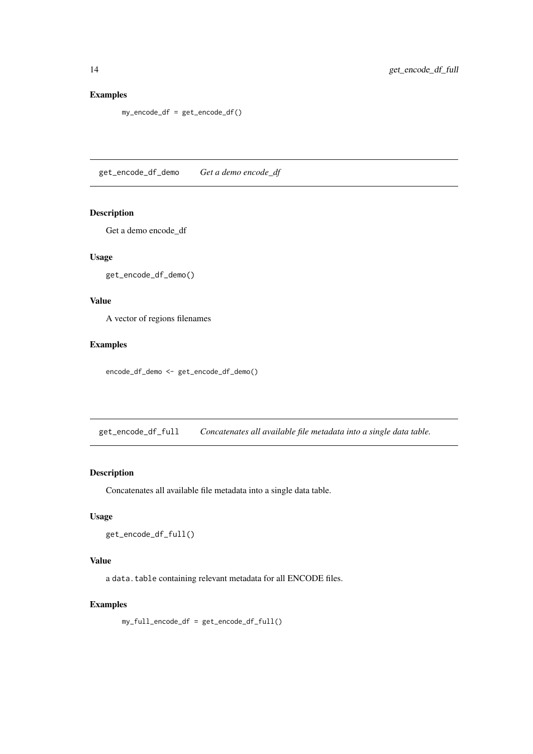# Examples

my\_encode\_df = get\_encode\_df()

get\_encode\_df\_demo *Get a demo encode\_df*

# Description

Get a demo encode\_df

# Usage

get\_encode\_df\_demo()

# Value

A vector of regions filenames

# Examples

encode\_df\_demo <- get\_encode\_df\_demo()

get\_encode\_df\_full *Concatenates all available file metadata into a single data table.*

# Description

Concatenates all available file metadata into a single data table.

# Usage

```
get_encode_df_full()
```
#### Value

a data.table containing relevant metadata for all ENCODE files.

#### Examples

my\_full\_encode\_df = get\_encode\_df\_full()

<span id="page-13-0"></span>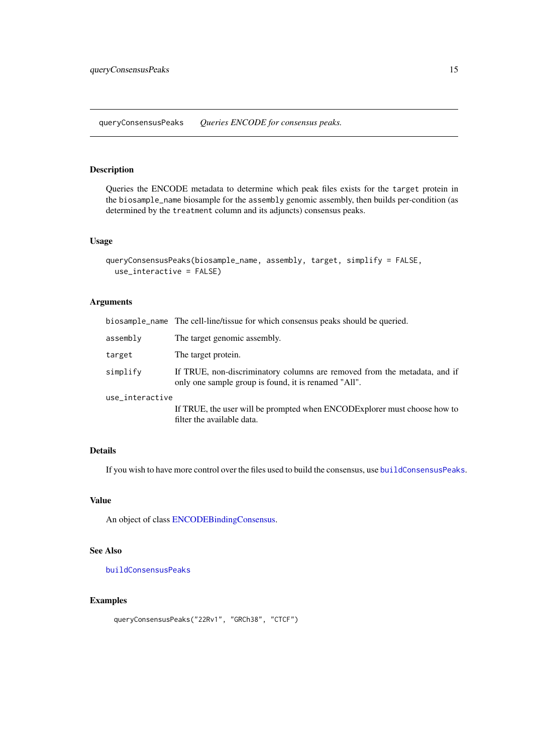<span id="page-14-1"></span><span id="page-14-0"></span>queryConsensusPeaks *Queries ENCODE for consensus peaks.*

# Description

Queries the ENCODE metadata to determine which peak files exists for the target protein in the biosample\_name biosample for the assembly genomic assembly, then builds per-condition (as determined by the treatment column and its adjuncts) consensus peaks.

#### Usage

```
queryConsensusPeaks(biosample_name, assembly, target, simplify = FALSE,
 use_interactive = FALSE)
```
# Arguments

| biosample_name The cell-line/tissue for which consensus peaks should be queried.                                                  |  |
|-----------------------------------------------------------------------------------------------------------------------------------|--|
| The target genomic assembly.                                                                                                      |  |
| The target protein.                                                                                                               |  |
| If TRUE, non-discriminatory columns are removed from the metadata, and if<br>only one sample group is found, it is renamed "All". |  |
| use_interactive                                                                                                                   |  |
| If TRUE, the user will be prompted when ENCODExplorer must choose how to<br>filter the available data.                            |  |
|                                                                                                                                   |  |

#### Details

If you wish to have more control over the files used to build the consensus, use [buildConsensusPeaks](#page-1-1).

# Value

An object of class [ENCODEBindingConsensus.](#page-7-1)

# See Also

[buildConsensusPeaks](#page-1-1)

#### Examples

```
queryConsensusPeaks("22Rv1", "GRCh38", "CTCF")
```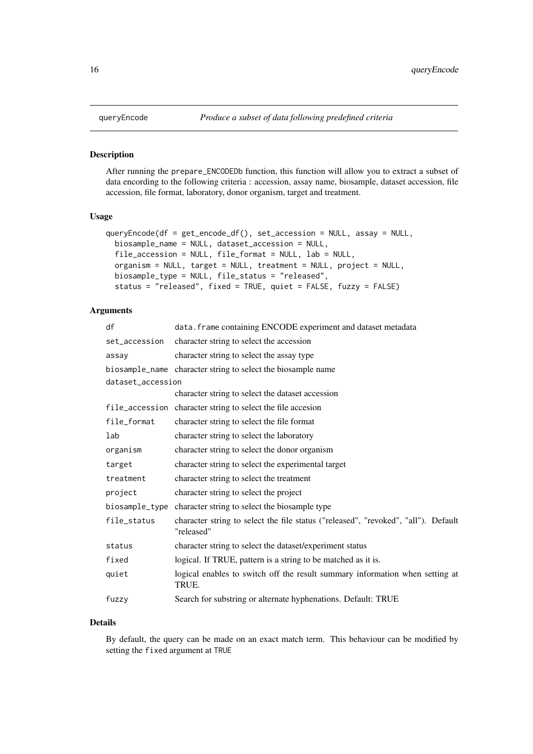#### <span id="page-15-1"></span><span id="page-15-0"></span>Description

After running the prepare\_ENCODEDb function, this function will allow you to extract a subset of data encording to the following criteria : accession, assay name, biosample, dataset accession, file accession, file format, laboratory, donor organism, target and treatment.

#### Usage

```
queryEncode(df = get_encode_df(), set_accession = NULL, assay = NULL,
 biosample_name = NULL, dataset_accession = NULL,
 file_accession = NULL, file_format = NULL, lab = NULL,
 organism = NULL, target = NULL, treatment = NULL, project = NULL,
 biosample_type = NULL, file_status = "released",
  status = "released", fixed = TRUE, quiet = FALSE, fuzzy = FALSE)
```
# Arguments

| df                | data. frame containing ENCODE experiment and dataset metadata                                    |  |
|-------------------|--------------------------------------------------------------------------------------------------|--|
| set_accession     | character string to select the accession                                                         |  |
| assay             | character string to select the assay type                                                        |  |
|                   | biosample_name character string to select the biosample name                                     |  |
| dataset_accession |                                                                                                  |  |
|                   | character string to select the dataset accession                                                 |  |
|                   | file_accession character string to select the file accesion                                      |  |
| file_format       | character string to select the file format                                                       |  |
| lab               | character string to select the laboratory                                                        |  |
| organism          | character string to select the donor organism                                                    |  |
| target            | character string to select the experimental target                                               |  |
| treatment         | character string to select the treatment                                                         |  |
| project           | character string to select the project                                                           |  |
| biosample_type    | character string to select the biosample type                                                    |  |
| file_status       | character string to select the file status ("released", "revoked", "all"). Default<br>"released" |  |
| status            | character string to select the dataset/experiment status                                         |  |
| fixed             | logical. If TRUE, pattern is a string to be matched as it is.                                    |  |
| quiet             | logical enables to switch off the result summary information when setting at<br>TRUE.            |  |
| fuzzy             | Search for substring or alternate hyphenations. Default: TRUE                                    |  |

#### Details

By default, the query can be made on an exact match term. This behaviour can be modified by setting the fixed argument at TRUE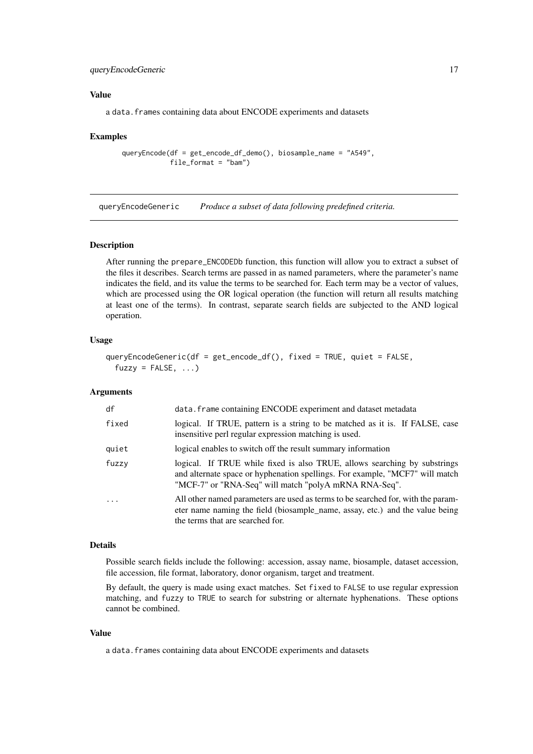#### <span id="page-16-0"></span>queryEncodeGeneric 17

#### Value

a data.frames containing data about ENCODE experiments and datasets

#### Examples

queryEncode(df = get\_encode\_df\_demo(), biosample\_name = "A549", file\_format = "bam")

<span id="page-16-1"></span>queryEncodeGeneric *Produce a subset of data following predefined criteria.*

#### Description

After running the prepare\_ENCODEDb function, this function will allow you to extract a subset of the files it describes. Search terms are passed in as named parameters, where the parameter's name indicates the field, and its value the terms to be searched for. Each term may be a vector of values, which are processed using the OR logical operation (the function will return all results matching at least one of the terms). In contrast, separate search fields are subjected to the AND logical operation.

#### Usage

```
queryEncodeGeneric(df = get_encode_df(), fixed = TRUE, quiet = FALSE,
 fuzzy = FALSE, ...)
```
#### Arguments

| df         | data. frame containing ENCODE experiment and dataset metadata                                                                                                                                                      |
|------------|--------------------------------------------------------------------------------------------------------------------------------------------------------------------------------------------------------------------|
| fixed      | logical. If TRUE, pattern is a string to be matched as it is. If FALSE, case<br>insensitive perl regular expression matching is used.                                                                              |
| quiet      | logical enables to switch off the result summary information                                                                                                                                                       |
| fuzzy      | logical. If TRUE while fixed is also TRUE, allows searching by substrings<br>and alternate space or hyphenation spellings. For example, "MCF7" will match<br>"MCF-7" or "RNA-Seq" will match "polyA mRNA RNA-Seq". |
| $\ddots$ . | All other named parameters are used as terms to be searched for, with the param-<br>eter name naming the field (biosample_name, assay, etc.) and the value being<br>the terms that are searched for.               |

#### Details

Possible search fields include the following: accession, assay name, biosample, dataset accession, file accession, file format, laboratory, donor organism, target and treatment.

By default, the query is made using exact matches. Set fixed to FALSE to use regular expression matching, and fuzzy to TRUE to search for substring or alternate hyphenations. These options cannot be combined.

#### Value

a data.frames containing data about ENCODE experiments and datasets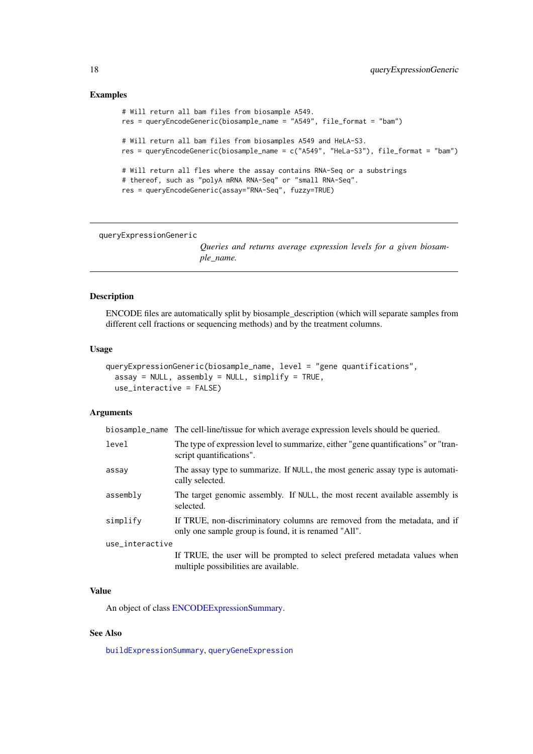# Examples

```
# Will return all bam files from biosample A549.
res = queryEncodeGeneric(biosample_name = "A549", file_format = "bam")
# Will return all bam files from biosamples A549 and HeLA-S3.
res = queryEncodeGeneric(biosample_name = c("A549", "HeLa-S3"), file_format = "bam")
# Will return all fles where the assay contains RNA-Seq or a substrings
# thereof, such as "polyA mRNA RNA-Seq" or "small RNA-Seq".
res = queryEncodeGeneric(assay="RNA-Seq", fuzzy=TRUE)
```
queryExpressionGeneric

*Queries and returns average expression levels for a given biosample\_name.*

#### Description

ENCODE files are automatically split by biosample\_description (which will separate samples from different cell fractions or sequencing methods) and by the treatment columns.

# Usage

```
queryExpressionGeneric(biosample_name, level = "gene quantifications",
 assay = NULL, assembly = NULL, simplify = TRUE,
 use_interactive = FALSE)
```
#### Arguments

|                 | biosample_name The cell-line/tissue for which average expression levels should be queried.                                        |  |
|-----------------|-----------------------------------------------------------------------------------------------------------------------------------|--|
| level           | The type of expression level to summarize, either "gene quantifications" or "tran-<br>script quantifications".                    |  |
| assay           | The assay type to summarize. If NULL, the most generic assay type is automati-<br>cally selected.                                 |  |
| assembly        | The target genomic assembly. If NULL, the most recent available assembly is<br>selected.                                          |  |
| simplify        | If TRUE, non-discriminatory columns are removed from the metadata, and if<br>only one sample group is found, it is renamed "All". |  |
| use_interactive |                                                                                                                                   |  |
|                 | If TRUE, the user will be prompted to select prefered metadata values when<br>multiple possibilities are available.               |  |

#### Value

An object of class [ENCODEExpressionSummary.](#page-8-1)

# See Also

[buildExpressionSummary](#page-2-1), [queryGeneExpression](#page-18-1)

<span id="page-17-0"></span>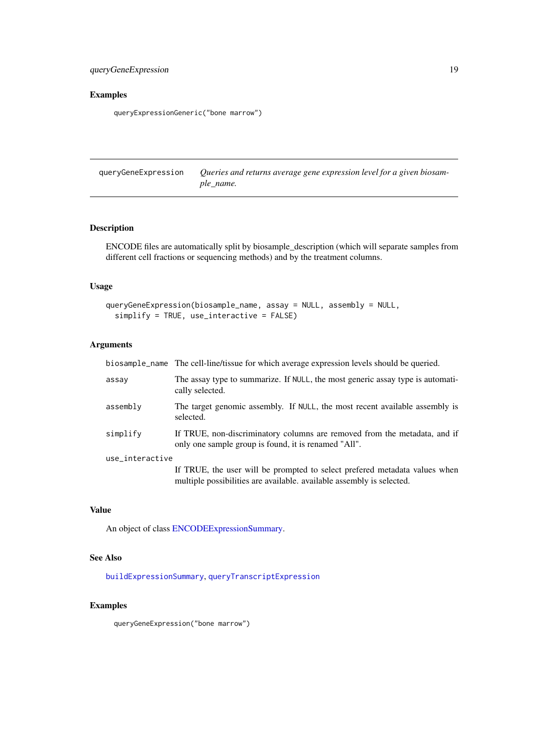# <span id="page-18-0"></span>Examples

queryExpressionGeneric("bone marrow")

<span id="page-18-1"></span>queryGeneExpression *Queries and returns average gene expression level for a given biosample\_name.*

# Description

ENCODE files are automatically split by biosample\_description (which will separate samples from different cell fractions or sequencing methods) and by the treatment columns.

# Usage

```
queryGeneExpression(biosample_name, assay = NULL, assembly = NULL,
  simplify = TRUE, use_interactive = FALSE)
```
# Arguments

|                 | biosample_name The cell-line/tissue for which average expression levels should be queried.                                                          |  |
|-----------------|-----------------------------------------------------------------------------------------------------------------------------------------------------|--|
| assay           | The assay type to summarize. If NULL, the most generic assay type is automati-<br>cally selected.                                                   |  |
| assembly        | The target genomic assembly. If NULL, the most recent available assembly is<br>selected.                                                            |  |
| simplify        | If TRUE, non-discriminatory columns are removed from the metadata, and if<br>only one sample group is found, it is renamed "All".                   |  |
| use_interactive |                                                                                                                                                     |  |
|                 | If TRUE, the user will be prompted to select prefered metadata values when<br>multiple possibilities are available, available assembly is selected. |  |

#### Value

An object of class [ENCODEExpressionSummary.](#page-8-1)

# See Also

[buildExpressionSummary](#page-2-1), [queryTranscriptExpression](#page-19-1)

#### Examples

queryGeneExpression("bone marrow")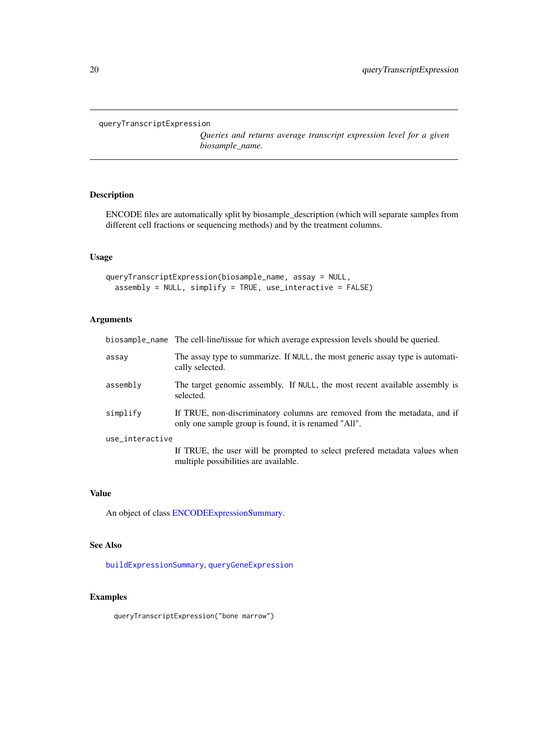<span id="page-19-1"></span><span id="page-19-0"></span>queryTranscriptExpression

*Queries and returns average transcript expression level for a given biosample\_name.*

# Description

ENCODE files are automatically split by biosample\_description (which will separate samples from different cell fractions or sequencing methods) and by the treatment columns.

# Usage

```
queryTranscriptExpression(biosample_name, assay = NULL,
 assembly = NULL, simplify = TRUE, use_interactive = FALSE)
```
# Arguments

|                 | biosample_name The cell-line/tissue for which average expression levels should be queried.                                        |  |
|-----------------|-----------------------------------------------------------------------------------------------------------------------------------|--|
| assay           | The assay type to summarize. If NULL, the most generic assay type is automati-<br>cally selected.                                 |  |
| assembly        | The target genomic assembly. If NULL, the most recent available assembly is<br>selected.                                          |  |
| simplify        | If TRUE, non-discriminatory columns are removed from the metadata, and if<br>only one sample group is found, it is renamed "All". |  |
| use_interactive |                                                                                                                                   |  |
|                 | If TRUE, the user will be prompted to select prefered metadata values when<br>multiple possibilities are available.               |  |

#### Value

An object of class [ENCODEExpressionSummary.](#page-8-1)

#### See Also

[buildExpressionSummary](#page-2-1), [queryGeneExpression](#page-18-1)

# Examples

queryTranscriptExpression("bone marrow")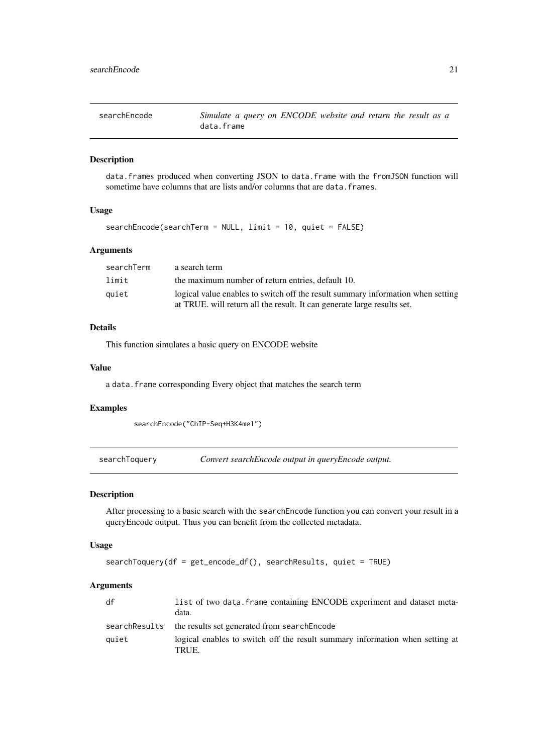<span id="page-20-0"></span>

| searchEncode | Simulate a query on ENCODE website and return the result as a |
|--------------|---------------------------------------------------------------|
|              | data.frame                                                    |

#### Description

data.frames produced when converting JSON to data.frame with the fromJSON function will sometime have columns that are lists and/or columns that are data. frames.

# Usage

```
searchEncode(searchTerm = NULL, limit = 10, quiet = FALSE)
```
# Arguments

| searchTerm | a search term                                                                   |
|------------|---------------------------------------------------------------------------------|
| limit      | the maximum number of return entries, default 10.                               |
| quiet      | logical value enables to switch off the result summary information when setting |
|            | at TRUE. will return all the result. It can generate large results set.         |

# Details

This function simulates a basic query on ENCODE website

# Value

a data. frame corresponding Every object that matches the search term

# Examples

searchEncode("ChIP-Seq+H3K4me1")

searchToquery *Convert searchEncode output in queryEncode output.*

#### Description

After processing to a basic search with the searchEncode function you can convert your result in a queryEncode output. Thus you can benefit from the collected metadata.

# Usage

```
searchToquery(df = get_encode_df(), searchResults, quiet = TRUE)
```
# Arguments

| df            | list of two data. frame containing ENCODE experiment and dataset meta-<br>data.       |
|---------------|---------------------------------------------------------------------------------------|
| searchResults | the results set generated from searchEncode                                           |
| quiet         | logical enables to switch off the result summary information when setting at<br>TRUE. |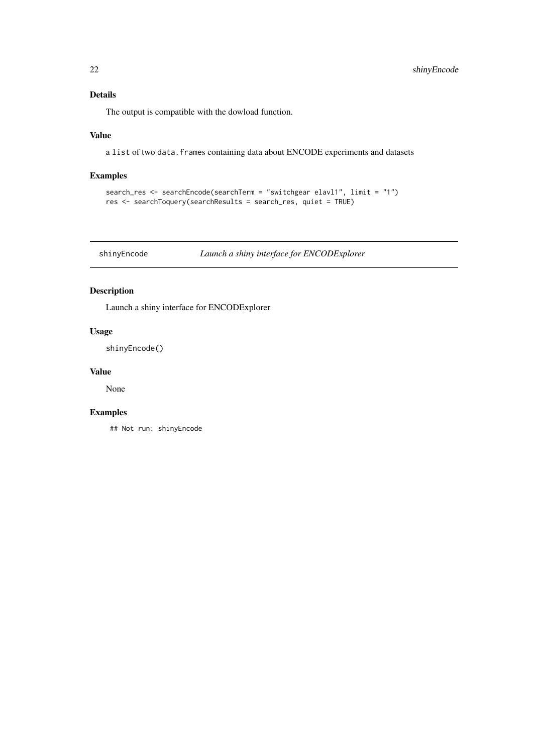# <span id="page-21-0"></span>Details

The output is compatible with the dowload function.

# Value

a list of two data.frames containing data about ENCODE experiments and datasets

#### Examples

```
search_res <- searchEncode(searchTerm = "switchgear elavl1", limit = "1")
res <- searchToquery(searchResults = search_res, quiet = TRUE)
```
shinyEncode *Launch a shiny interface for ENCODExplorer*

# Description

Launch a shiny interface for ENCODExplorer

# Usage

shinyEncode()

#### Value

None

# Examples

## Not run: shinyEncode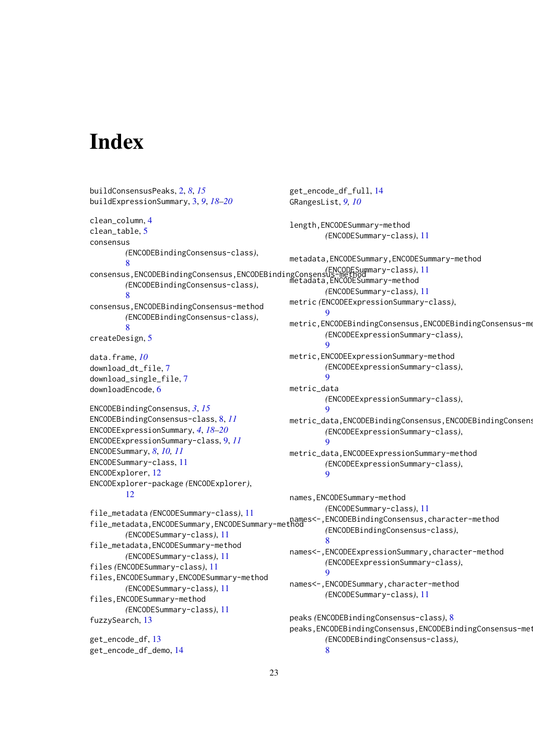# <span id="page-22-0"></span>Index

```
buildConsensusPeaks, 2, 8, 15
buildExpressionSummary, 3, 9, 18–20
clean_column, 4
clean_table, 5
consensus
        (ENCODEBindingConsensus-class),
        8
consensus,ENCODEBindingConsensus,ENCODEBindingConsensus-method
(ENCODESummary-class), 11
        (ENCODEBindingConsensus-class),
        8
consensus,ENCODEBindingConsensus-method
        (ENCODEBindingConsensus-class),
        8
createDesign, 5
data.frame, 10
download_dt_file, 7
download_single_file, 7
downloadEncode, 6
ENCODEBindingConsensus, 3, 15
ENCODEBindingConsensus-class, 8, 11
ENCODEExpressionSummary, 4, 18–20
ENCODEExpressionSummary-class, 9, 11
ENCODESummary, 8, 10, 11
ENCODESummary-class, 11
ENCODExplorer, 12
ENCODExplorer-package (ENCODExplorer),
        12
file_metadata (ENCODESummary-class), 11
names<-,ENCODEBindingConsensus,character-method<br>file_metadata,ENCODESummary,ENCODESummary-method
        (ENCODESummary-class), 11
file_metadata,ENCODESummary-method
        (ENCODESummary-class), 11
files (ENCODESummary-class), 11
files,ENCODESummary,ENCODESummary-method
        (ENCODESummary-class), 11
files,ENCODESummary-method
        (ENCODESummary-class), 11
fuzzySearch, 13
get_encode_df, 13
get_encode_df_demo, 14
                                                get_encode_df_full, 14
                                                GRangesList, 9, 10
                                                length,ENCODESummary-method
                                                         (ENCODESummary-class), 11
                                                metadata,ENCODESummary,ENCODESummary-method
                                                metadata,ENCODESummary-method
                                                         (ENCODESummary-class), 11
                                                metric (ENCODEExpressionSummary-class),
                                                         \mathbf Qmetric,ENCODEBindingConsensus,ENCODEBindingConsensus-me
                                                         (ENCODEExpressionSummary-class),
                                                         \alphametric,ENCODEExpressionSummary-method
                                                         (ENCODEExpressionSummary-class),
                                                         9
                                                metric_data
                                                         (ENCODEExpressionSummary-class),
                                                         9
                                                metric_data,ENCODEBindingConsensus,ENCODEBindingConsens
                                                         (ENCODEExpressionSummary-class),
                                                         9
                                                metric_data,ENCODEExpressionSummary-method
                                                         (ENCODEExpressionSummary-class),
                                                         9
                                                names,ENCODESummary-method
                                                         (ENCODESummary-class), 11
                                                         (ENCODEBindingConsensus-class),
                                                         8
                                                names<-,ENCODEExpressionSummary,character-method
                                                         (ENCODEExpressionSummary-class),
                                                         9
                                                names<-,ENCODESummary,character-method
                                                         (ENCODESummary-class), 11
                                                peaks (ENCODEBindingConsensus-class), 8
                                                peaks, ENCODEBindingConsensus, ENCODEBindingConsensus-methods
                                                         (ENCODEBindingConsensus-class),
                                                         8
```